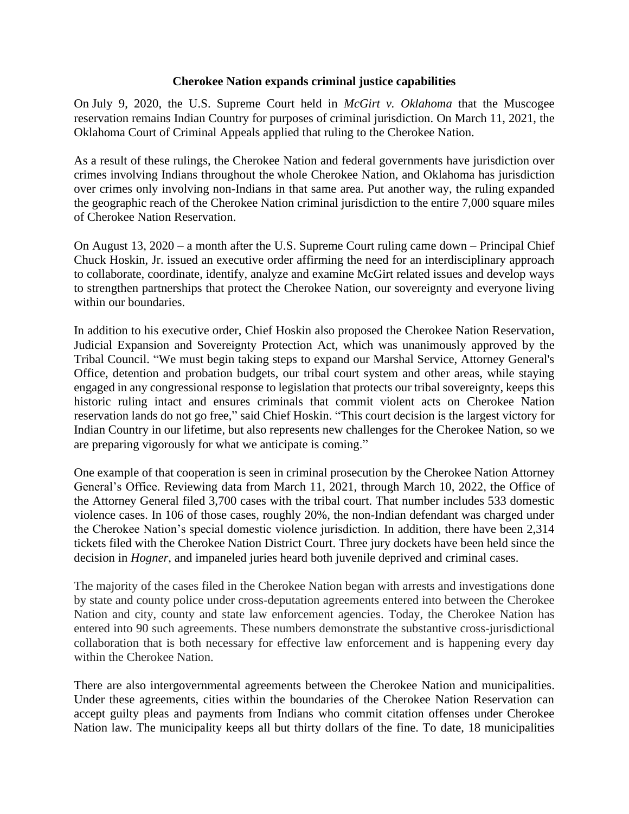## **Cherokee Nation expands criminal justice capabilities**

On July 9, 2020, the U.S. Supreme Court held in *McGirt v. Oklahoma* that the Muscogee reservation remains Indian Country for purposes of criminal jurisdiction. On March 11, 2021, the Oklahoma Court of Criminal Appeals applied that ruling to the Cherokee Nation.

As a result of these rulings, the Cherokee Nation and federal governments have jurisdiction over crimes involving Indians throughout the whole Cherokee Nation, and Oklahoma has jurisdiction over crimes only involving non-Indians in that same area. Put another way, the ruling expanded the geographic reach of the Cherokee Nation criminal jurisdiction to the entire 7,000 square miles of Cherokee Nation Reservation.

On August 13, 2020 – a month after the U.S. Supreme Court ruling came down – Principal Chief Chuck Hoskin, Jr. issued an executive order affirming the need for an interdisciplinary approach to collaborate, coordinate, identify, analyze and examine McGirt related issues and develop ways to strengthen partnerships that protect the Cherokee Nation, our sovereignty and everyone living within our boundaries.

In addition to his executive order, Chief Hoskin also proposed the Cherokee Nation Reservation, Judicial Expansion and Sovereignty Protection Act, which was unanimously approved by the Tribal Council. "We must begin taking steps to expand our Marshal Service, Attorney General's Office, detention and probation budgets, our tribal court system and other areas, while staying engaged in any congressional response to legislation that protects our tribal sovereignty, keeps this historic ruling intact and ensures criminals that commit violent acts on Cherokee Nation reservation lands do not go free," said Chief Hoskin. "This court decision is the largest victory for Indian Country in our lifetime, but also represents new challenges for the Cherokee Nation, so we are preparing vigorously for what we anticipate is coming."

One example of that cooperation is seen in criminal prosecution by the Cherokee Nation Attorney General's Office. Reviewing data from March 11, 2021, through March 10, 2022, the Office of the Attorney General filed 3,700 cases with the tribal court. That number includes 533 domestic violence cases. In 106 of those cases, roughly 20%, the non-Indian defendant was charged under the Cherokee Nation's special domestic violence jurisdiction. In addition, there have been 2,314 tickets filed with the Cherokee Nation District Court. Three jury dockets have been held since the decision in *Hogner*, and impaneled juries heard both juvenile deprived and criminal cases.

The majority of the cases filed in the Cherokee Nation began with arrests and investigations done by state and county police under cross-deputation agreements entered into between the Cherokee Nation and city, county and state law enforcement agencies. Today, the Cherokee Nation has entered into 90 such agreements. These numbers demonstrate the substantive cross-jurisdictional collaboration that is both necessary for effective law enforcement and is happening every day within the Cherokee Nation.

There are also intergovernmental agreements between the Cherokee Nation and municipalities. Under these agreements, cities within the boundaries of the Cherokee Nation Reservation can accept guilty pleas and payments from Indians who commit citation offenses under Cherokee Nation law. The municipality keeps all but thirty dollars of the fine. To date, 18 municipalities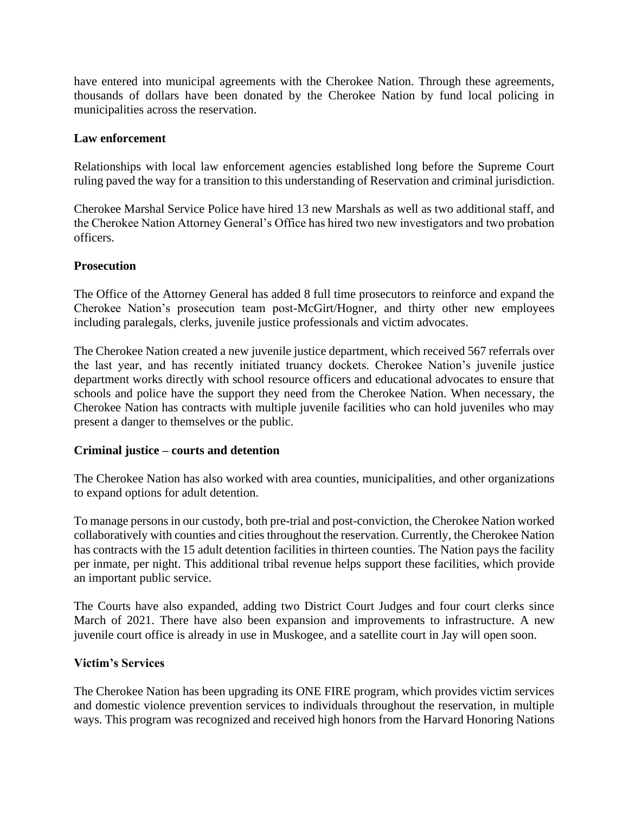have entered into municipal agreements with the Cherokee Nation. Through these agreements, thousands of dollars have been donated by the Cherokee Nation by fund local policing in municipalities across the reservation.

# **Law enforcement**

Relationships with local law enforcement agencies established long before the Supreme Court ruling paved the way for a transition to this understanding of Reservation and criminal jurisdiction.

Cherokee Marshal Service Police have hired 13 new Marshals as well as two additional staff, and the Cherokee Nation Attorney General's Office has hired two new investigators and two probation officers.

# **Prosecution**

The Office of the Attorney General has added 8 full time prosecutors to reinforce and expand the Cherokee Nation's prosecution team post-McGirt/Hogner, and thirty other new employees including paralegals, clerks, juvenile justice professionals and victim advocates.

The Cherokee Nation created a new juvenile justice department, which received 567 referrals over the last year, and has recently initiated truancy dockets. Cherokee Nation's juvenile justice department works directly with school resource officers and educational advocates to ensure that schools and police have the support they need from the Cherokee Nation. When necessary, the Cherokee Nation has contracts with multiple juvenile facilities who can hold juveniles who may present a danger to themselves or the public.

## **Criminal justice – courts and detention**

The Cherokee Nation has also worked with area counties, municipalities, and other organizations to expand options for adult detention.

To manage persons in our custody, both pre-trial and post-conviction, the Cherokee Nation worked collaboratively with counties and cities throughout the reservation. Currently, the Cherokee Nation has contracts with the 15 adult detention facilities in thirteen counties. The Nation pays the facility per inmate, per night. This additional tribal revenue helps support these facilities, which provide an important public service.

The Courts have also expanded, adding two District Court Judges and four court clerks since March of 2021. There have also been expansion and improvements to infrastructure. A new juvenile court office is already in use in Muskogee, and a satellite court in Jay will open soon.

## **Victim's Services**

The Cherokee Nation has been upgrading its ONE FIRE program, which provides victim services and domestic violence prevention services to individuals throughout the reservation, in multiple ways. This program was recognized and received high honors from the Harvard Honoring Nations